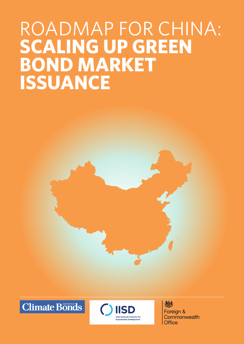# ROADMAP FOR CHINA: **Scaling up GREEN BOND MARKET Issuance**





炒 Foreign & Commonwealth Office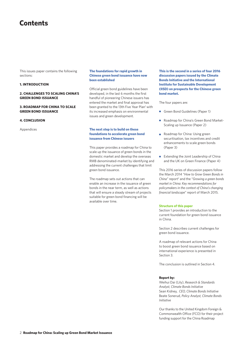### **Contents**

This issues paper contains the following sections:

#### **1. INtroduction**

#### **2. Challenges to scaling china's green bond issuance**

### **3. Roadmap for china to scale green bond issuance**

#### **4. Conclusion**

Appendices

#### **The foundations for rapid growth in Chinese green bond issuance have now been established**

Official green bond guidelines have been developed, in the last 6 months the first handful of pioneering Chinese issuers has entered the market and final approval has been granted to the 13th Five Year Plan<sup>1</sup> with its increased emphasis on environmental issues and green development.

#### **The next step is to build on these foundations to accelerate green bond issuance from Chinese issuers**

This paper provides a roadmap for China to scale up the issuance of green bonds in the domestic market and develop the overseas RMB denominated-market by identifying and addressing the current challenges that limit green bond issuance.

The roadmap sets out actions that can enable an increase in the issuance of green bonds in the near term, as well as actions that will ensure a steady stream of projects suitable for green bond financing will be available over time.

**This is the second in a series of four 2016 discussion papers issued by the Climate Bonds Initiative and the International Institute for Sustainable Development (IISD) on prospects for the Chinese green bond market.** 

The four papers are:

- Green Bond Guidelines (Paper 1)
- Roadmap for China's Green Bond Market-Scaling up Issuance (Paper 2)
- Roadmap for China: Using green securitisation, tax incentives and credit enhancements to scale green bonds (Paper 3)
- Extending the Joint Leadership of China and the UK on Green Finance (Paper 4)

This 2016 series of discussion papers follow the March 2014 "*How to Grow Green Bonds in*  China" report<sup>2</sup> and the "*Growing a green bonds market in China: Key recommendations for policymakers in the context of China's changing financial landscape*" report of March 2015.

#### **Structure of this paper**

Section 1 provides an introduction to the current foundation for green bond issuance in China.

Section 2 describes current challenges for green bond issuance.

A roadmap of relevant actions for China to boost green bond issuance based on international experience is presented in Section 3.

The conclusion is outlined in Section 4.

#### **Report by:**

Weihui Dai (Lily), *Research & Standards Analyst, Climate Bonds Initiative* Sean Kidney, *CEO, Climate Bonds Initiative* Beate Sonerud, *Policy Analyst, Climate Bonds Initiative*

Our thanks to the United Kingdom Foreign & Commonwealth Office (FCO) for their project funding support for the China Roadmap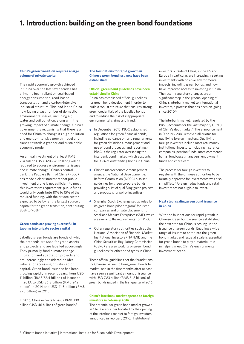### **1. Introduction: building on the green bond foundations**

#### **China's green transition requires a large volume of private capital**

The rapid economic growth achieved in China over the last few decades has primarily been reliant on coal-based energy consumption, road-based transportation and a carbon-intensive industrial structure. This had led to China now facing a vast number of domestic environmental issues, including air, water and soil pollution, along with the growing impact of climate change. China's government is recognising that there is a need for China to change its high-pollution and energy-intensive growth model and transit towards a greener and sustainable economic model.

An annual investment of at least RMB 2-4 trillion (USD 320-640 billion) will be required to address environmental issues and climate change.<sup>3</sup> China's central bank, the People's Bank of China (PBoC) has made a clear statement that public investment alone is not sufficient to meet this investment requirement: public funds would only contribute 10% to 15% of the required funding, with the private sector expected to be by far the largest source of capital for the green transition, contributing 85% to 90%.4

#### **Green bonds are proving successful in tapping into private sector capital**

Labelled green bonds are bonds of which the proceeds are used for green assets and projects and are labelled accordingly. They primarily fund climate change mitigation and adaptation projects and are increasingly considered an ideal vehicle for accessing private sector capital. Green bond issuance has been growing rapidly in recent years, from USD 11 billion (RMB 72.4 billion) of issuance in 2013, to USD 36.8 billion (RMB 242 billion) in 2014 and USD 41.8 billion (RMB 275 billion) in 2015.

In 2016, China expects to issue RMB 300 billion (USD 46 billion) of green bonds.<sup>5</sup>

#### **The foundations for rapid growth in Chinese green bond issuance have been established**

#### **Official green bond guidelines have been established in China**

China has established official guidelines for green bond development in order to build a robust structure that ensures strong green credentials of the labelled bonds and to reduce the risk of inappropriate environmental claims and fraud:

- In December 2015, PBoC established regulations for green financial bonds, including guidance on, and requirements for green definitions, management and use of bond proceeds, and reporting.<sup>6</sup> PBoC is the regulator overseeing the interbank bond market, which accounts for 93% of outstanding bonds in China.
- China's macroeconomic management agency, the National Development & Reform Commission (NDRC) also set guidelines for green corporate bonds, providing a list of qualifying green projects and proposals for policy incentives.<sup>7</sup>
- Shanghai Stock Exchange set up rules for its green bond pilot program<sup>8</sup> for listed companies and private placement from Small and Medium Enterprises (SME), which are similar to the requirements from PBoC.
- Other regulatory authorities such as the National Association of Financial Market Institutional Investors (NAFMII) and the China Securities Regulatory Commission (CSRC) are also working on green bond guidelines for other bond types in China.

These official guidelines set the foundations for Chinese issuers to bring green bonds to market, and in the first months after release have seen a significant amount of issuance with USD 7.83 billion (RMB 51.8 billion) of green bonds issued in the first quarter of 2016.

#### **China's interbank market opened to foreign investors in February 2016**

The potential for green bond market growth in China are further boosted by the opening of the interbank market to foreign investors, announced in February 2016.<sup>9</sup> Institutional

investors outside of China, in the US and Europe in particular, are increasingly seeking investments with positive environmental impacts, including green bonds, and now have improved access to investing in China. The recent regulatory changes are a significant step in the gradual opening of China's interbank market to international investors, a process that has been on-going since 2010.10

The interbank market, regulated by the PBoC, accounts for the vast majority (93%) of China's debt market.<sup>11</sup> The announcement in February 2016 removed all quotas for qualifying foreign investors. Qualifying foreign investors include most real money institutional investors, including insurance companies, pension funds, most commercial banks, fund/asset managers, endowment funds and charities<sup>12</sup>

The process for foreign investors to register with the Chinese authorities to be formally approved for investments was also simplified.13 Foreign hedge funds and retail investors are not eligible to invest.

#### **Next step: scaling green bond issuance in China**

With the foundations for rapid growth in Chinese green bond issuance established, the next step for China is scaling up the issuance of green bonds. Enabling a wide range of issuers to enter into the green bond market and issue at scale is essential for green bonds to play a material role in helping meet China's environmental investment needs.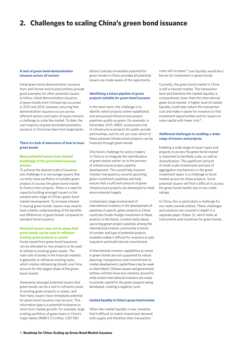### **2. Challenges to scaling China's green bond issuance**

#### **A lack of green bond demonstration issuance across all sectors**

Initial green bond demonstration issuance from well-known and trusted entities provide good examples for other potential issuers to follow. Initial demonstration issuance of green bonds from Chinese has occurred in 2015 and 2016, however, ensuring that demonstration issuance occurs across different sectors and types of issues remains a challenge to scale the market. To date, the vast majority of green bond demonstration issuance in China has been from large banks.

#### **There is a lack of awareness of how to issue green bonds**

#### **Many potential issuers have limited knowledge of the green bond issuance process**

To achieve the desired scale of issuance, one challenge is to encourage issuers that currently have portfolios of suitable green projects to access the green bond market to finance their projects. There is a need for capacity building amongst issuers in the present early stage of China's green bond market development. To increase interest in issuing green bonds, issuers may need to have a better understanding of the benefits and differences of green bonds compared to standard bond issuance.

#### **Potential issuers may not be aware that green bonds can be used to refinance existing green projects or assets**

Funds raised from green bond issuances can be allocated to new projects or be used to refinance existing green assets. The main role of bonds in the financial markets is generally to refinance existing loans, which implies refinancing should, over time, account for the largest share of the green bond market.

Awareness amongst potential issuers that green bonds can be a tool to refinance pools of existing green projects or assets, and that many issuers have immediate potential for green bond issuance may be poor. This information gap is a potential hindrance to short term market growth. For example, large existing portfolios of green loans in China's major banks (RMB 5.72 trillion; USD 920

billion) indicate immediate potential for green bonds in China provided all potential issuers are made aware of the opportunity.

#### **Identifying a future pipeline of green projects suitable for green bond issuance**

In the short-term, the challenge is to identify which projects within established and announced infrastructure project pipelines qualify as green. For example, in December 2015, NRDC announced a list of infrastructure projects for public-private partnerships, but it's not yet clear which of these planned infrastructure projects can be financed through green bonds.

One future challenge for policy makers in China is to integrate the identification of green assets earlier on in the process of infrastructure project pipeline development. This would help improve investor transparency around upcoming green investment pipelines and help ensure that a sufficient amount of green infrastructure projects are developed to meet environmental targets.

Limited early stage involvement of international investors in the development of pipelines of specific green projects in China could also hinder foreign investment in these projects in the future. Limited clarity about upcoming green project pipelines among the international investor community in terms of number and type of potential projects available makes it difficult for investors to plan long term and build internal commitment.

If international investor capabilities to invest in green bonds are not supported by robust planning, transparency and commitment to market development, capital flows may be weak or intermittent. Chinese issuers and government entities will then have less certainty around to what extent international investors are ready to provide capital for the green projects being developed, creating a negative cycle.

#### **Limited liquidity in China's green bond market**

When the market liquidity is low, investors find it difficult to match investment demand with supply and therefore their transaction

costs will increase.14 Low liquidity would be a barrier for investment in green bonds.

Currently, the green bond market in China is still a nascent market. The transaction level and therefore the market liquidity is comparatively lower than the international green bond market. A higher level of market liquidity could help reduce the transaction cost and make it easier for investors to find investment opportunities and for issuers to raise capital with lower cost.15

#### **Additional challenges to enabling a wider range of issuers and projects**

Enabling a wide range of issuer types and projects to access the green bond market is important to facilitate scale, as well as diversification. The significant amount of small-scale investments and lack of aggregation mechanisms in the green investment space is a challenge to bond market access for these projects. Some potential issuers will find it difficult to access the green bond market due to low credit ratings.

In China, this is particularly a challenge for non-state-owned entities. These challenges and solutions are covered in-depth in a separate paper (Paper 3), which looks at instruments and incentives for green bonds.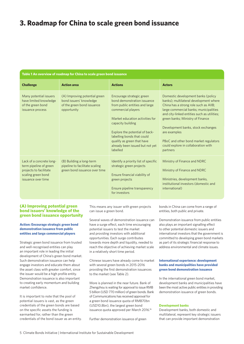### **3. Roadmap for China to scale green bond issuance**

#### **Table 1 An overview of roadmap for China to scale green bond issuance**

| <b>Challenge</b>                                                                                                         | <b>Action area</b>                                                                                    | <b>Actions</b>                                                                                                                                                                                                                                                                                                        | <b>Actors</b>                                                                                                                                                                                                                                                                                                                                                                                        |
|--------------------------------------------------------------------------------------------------------------------------|-------------------------------------------------------------------------------------------------------|-----------------------------------------------------------------------------------------------------------------------------------------------------------------------------------------------------------------------------------------------------------------------------------------------------------------------|------------------------------------------------------------------------------------------------------------------------------------------------------------------------------------------------------------------------------------------------------------------------------------------------------------------------------------------------------------------------------------------------------|
| Many potential issuers<br>have limited knowledge<br>of the green bond<br>issuance process                                | (A) Improving potential green<br>bond issuers' knowledge<br>of the green bond issuance<br>opportunity | Encourage strategic green<br>bond demonstration issuance<br>from public entities and large<br>commercial players<br>Market education activities for<br>capacity building<br>Explore the potential of back-<br>labelling bonds that could<br>qualify as green that have<br>already been issued but not yet<br>labelled | Domestic development banks (policy<br>banks); multilateral development where<br>China has a strong role such as AIIB;<br>large commercial banks; municipalities<br>and city-linked entities such as utilities;<br>green banks; Ministry of Finance<br>Development banks, stock exchanges<br>are examples<br>PBoC and other bond market regulators<br>could explore in collaboration with<br>partners |
| Lack of a concrete long-<br>term pipeline of green<br>projects to facilitate<br>scaling green bond<br>issuance over time | (B) Building a long-term<br>pipeline to facilitate scaling<br>green bond issuance over time           | Identify a priority list of specific<br>strategic green projects<br>Ensure financial viability of<br>green projects<br>Ensure pipeline transparency<br>for investors                                                                                                                                                  | Ministry of Finance and NDRC<br>Ministry of Finance and NDRC<br>Ministries, development banks,<br>institutional investors (domestic and<br>international)                                                                                                                                                                                                                                            |

#### **(A) Improving potential green bond issuers' knowledge of the green bond issuance opportunity**

#### **Action: Encourage strategic green bond demonstration issuance from public entities and large commercial players**

Strategic green bond issuance from trusted and well-recognised entities can play an important role in leading the initial development of China's green bond market. Such demonstration issuance can help engage investors and educate them about the asset class with greater comfort, since the issuer would be a high profile entity. Demonstration issuance is also important to creating early momentum and building market confidence.

It is important to note that the pool of potential issuers is vast, as the green credentials of the green bonds are based on the specific assets the funding is earmarked for, rather than the green credentials of the bond issuer as an entity.

This means any issuer with green projects can issue a green bond.

Several waves of demonstration issuance can have a surge effect, each time encouraging potential issuers to test the market and providing investors with additional opportunities. Each surge contributes towards more depth and liquidity, needed to reach the objective of achieving market scale in a relatively short time period.

Chinese issuers have already come to market with several green bonds in 2015-2016 providing the first demonstration issuances to the market (see Table 2).

More is planned in the near future. Bank of Zhengzhou is waiting for approval to issue RMB 5 billion (USD 770 million) of green bonds. Bank of Communications has received approval for a green bond issuance quota of RMB70bn (USD10.8bn), the largest green bond issuance quota approved per March 2016.<sup>16</sup>

Further demonstration issuance of green

bonds in China can come from a range of entities, both public and private.

Demonstration issuance from public entities also plays an important signalling effect to other potential domestic issuers and international investors that the government is committed to developing green bond markets as part of its strategic financial response to address environmental and climate issues.

#### **International experience: development banks and municipalities have provided green bond demonstration issuance**

In the international green bond market, development banks and municipalities have been the most active public entities in providing demonstration issuance of green bonds.

#### **Development banks**

Development banks, both domestic and multilateral, represent key strategic issuers that can provide important demonstration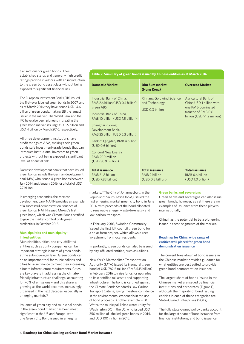**Transactions for green bonds. Their Table 2: Summary of green bonds issued by Chinese entities as at March 2016** established status and generally high credit ratings provide investors with an introduction to the green bond asset class without being exposed to significant financial risk.

The European Investment Bank (EIB) issued the first-ever labelled green bonds in 2007, and as of March 2016 they have issued USD 14.6 billion of green bonds, making EIB the largest issuer in the market. The World Bank and the IFC have also been pioneers in creating the green bond market, issuing USD 8.5 billion and USD 4 billion by March 2016, respectively.

All three development institutions have credit ratings of AAA, making their green bonds safe investment-grade bonds that can introduce institutional investors to green projects without being exposed a significant level of financial risk.

Domestic development banks that have issued green bonds include the German development bank KfW, who issued 4 green bonds between July 2014 and January 2016 for a total of USD 7.7 billion.

In emerging economies, the Mexican development bank NAFIN provides an example of a successful demonstration issuance of green bonds. NAFIN issued Mexico's first green bond, which was Climate Bonds certified to give the market comfort of its green credentials, in October 2015.

#### **Municipalities and municipalitylinked entities**

Municipalities, cities, and city-affiliated entities such as utility companies can be important strategic issuers of green bonds at the sub-sovereign level. Green bonds can be an important tool for municipalities and cities to raise finance to meet their increasing climate infrastructure requirements. Cities are key players in addressing the climatefriendly infrastructure challenge, accounting for 70% of emissions – and this share is growing as the world becomes increasingly urbanised in the next decades, especially in emerging markets.<sup>17</sup>

Issuance of green city and municipal bonds in the green bond market has been most significant in the US and Europe, with one Green City Bond issued in emerging

| <b>Domestic Market</b>                                                                                                                                                                                                                                                                                                                                | <b>Dim Sum market</b><br>(Hong Kong)                           | <b>Overseas Market</b>                                                                                                    |
|-------------------------------------------------------------------------------------------------------------------------------------------------------------------------------------------------------------------------------------------------------------------------------------------------------------------------------------------------------|----------------------------------------------------------------|---------------------------------------------------------------------------------------------------------------------------|
| Industrial Bank of China,<br>RMB 2.6 billion (USD 0.4 billion)<br>green ABS<br>Industrial Bank of China,<br>RMB 10 billion (USD 1.5 billion)<br>Shanghai Pudong<br>Development Bank,<br>RMB 35 billion (USD 5.3 billion)<br>Bank of Qingdao, RMB 4 billion<br>(USD 0.6 billion)<br><b>Concord New Energy</b><br>RMB 200 million<br>(USD 30.9 million) | Xinjiang Goldwind Science<br>and Technology<br>USD 0.3 billion | Agricultural Bank of<br>China USD 1 billion with<br>one RMB-dominated<br>tranche of RMB 0.6<br>billion (USD 91.2 million) |
| <b>Total issuance</b><br>RMB 51.8 billion<br>(USD 7.83 billion)                                                                                                                                                                                                                                                                                       | <b>Total issuance</b><br>RMB 2 billion<br>(USD 0.3 billion)    | <b>Total issuance</b><br>RMB 6.6 billion<br>(USD 1.0 billion)                                                             |

markets.18 The City of Johannesburg in the Republic of South Africa (RSA) issued the first emerging market green city bond in June 2014, with proceeds of the bond allocated to renewable energy, waste-to-energy and low-carbon transport.

In February 2016, Swindon Community issued the first UK council green bond for a solar farm project, which allows direct investment from local residents.

Importantly, green bonds can also be issued by city-affiliated entities, such as utilities.

New York's Metropolitan Transportation Authority (MTA) issued its inaugural green bond of USD 782.5 million (RMB 5.15 billion) in February 2016 to raise funds for upgrades to its electrified rail assets and supporting infrastructure. The bond is certified against the Climate Bonds Standard's Low Carbon Transport Criteria, giving investors confidence in the environmental credentials in the use of bond proceeds. Another example is DC Water, the municipal-linked water utility for Washington DC in the US, who issued USD 350 million of labelled green bonds in 2014, and USD 100 million in 2015.

#### **Green banks and sovereigns**

Green banks and sovereigns can also issue green bonds; however, as yet there are no examples of issuance from these players internationally.

China has the potential to be a pioneering issuer in these segments of the market.

#### **Roadmap for China: wide range of entities well placed for green bond demonstration issuance**

The current breakdown of bond issuers in the Chinese market provides guidance for what entities are best suited to provide green bond demonstration issuance.

The largest share of bonds issued in the Chinese market are issued by financial institutions and corporates (Figure 1), although the majority of bond issuing entities in each of these categories are State-Owned Enterprises (SOEs) .

The fully state-owned policy banks account for the largest share of bond issuance from financial institutions, and bond issuance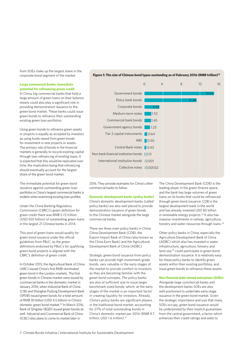from SOEs make up the largest share in the corporate bond segment of the market.

#### **Large commercial banks: immediate potential for refinancing green credit**

In China, big commercial banks that hold a large amount of green loans on their balance sheets could also play a significant role in providing demonstration issuance to the green bond market. These banks could issue green bonds to refinance their outstanding existing green loan portfolios.

Using green bonds to refinance green assets or projects is equally as accepted by investors as using funds raised from green bonds for investment in new projects or assets. The primary role of bonds in the financial markets is generally to recycle existing capital through loan refinancing of existing loans. It is expected that this would be replicated over time, the implication being that refinancing should eventually account for the largest share of the green bond market.

The immediate potential for green bond issuance against outstanding green loan portfolios in China's largest commercial banks is evident when examining existing loan profiles.

Under the China Banking Regulatory Commission (CBRC)'s green definition for green credit there was RMB 5.72 trillion (USD 920 billion) of outstanding green loans in the largest 21 Chinese banks in 2014.

This pool of green loans would qualify for green bond issuance under the official guidelines from PBoC, as the green definitions endorsed by PBoC's for qualifying green bond projects is aligned with the CBRC's definition of green credit.

In October 2015, the Agricultural Bank of China (ABC) issued China's first RMB-dominated green bond in the London-markets. The first green bonds in Chinese market were issued by commercial banks in the domestic market in January 2016, when Industrial Bank of China (CIB) and Shanghai Pudong Development Bank (SPDB) issued green bonds for a total amount of RMB 30 billion (USD 4.5 billion) in China's domestic green bond market.<sup>20</sup> In March 2016, Bank of Qingdao (BQD) issued green bonds as well. Industrial and Commercial Bank of China (ICBC) also plans to come to market later in



**Figure 1: The size of Chinese bond types oustanding as of February 2016 (RMB trillion)19**

2016. They provide examples for China's other commercial banks to follow.

**Domestic development banks (policy banks)** China's domestic development banks (called policy banks) are also well placed to provide demonstration issuance of green bonds to the Chinese market alongside the large commercial banks.

There are three main policy banks in China: China Development Bank (CDB), the Export-Import Bank of China (also known as the China Exim Bank) and the Agricultural Development Bank of China (ADBC).

Strategic green bond issuance from policy banks can provide high investment-grade bonds, very valuable in the early stages of the market to provide comfort to investors as they are becoming familiar with the green bond concepts. The policy banks are also of sufficient size to issue larger benchmark sized bonds, which, at the early stages of the market is an important factor in creating liquidity for investors. Already, China's policy banks are significant players in the traditional bond market; accounting for 27% of total outstanding bonds in China's domestic market per 2014 (RMB 9.7 trillion; USD 1.6 trillion).<sup>21</sup>

The China Development Bank (CDB) is the leading player in the green finance space, and the bank has large volumes of green loans on its books that could be refinanced through green bond issuance. CDB is the largest development bank in the world and has already invested USD 80 billion in renewable energy projects.<sup>22</sup> It also has massive investments in railway, agriculture, forestry and water resources through loans.23

Other policy banks in China, especially the Agriculture Development Bank of China (ADBC) which also has invested in water infrastructure, agriculture, forestry and land use,<sup>24</sup> could participate in green bond demonstration issuance. It is relatively easy for these policy banks to identify green assets within their existing portfolios, and issue green bonds to refinance these assets.

#### **Non-financial state-owned enterprises (SOEs)**

Alongside large commercial banks and the development banks SOEs are also well positioned to undertake early stage issuance in the green bond market. Given the strategic importance and size that many SOEs occupy, green bond issuance would be underpinned by their implicit guarantees from the central government, a factor which enhances their credit ratings and adds to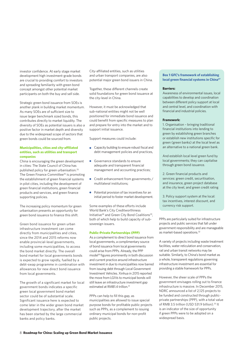investor confidence. At early stage market development high investment-grade bonds are crucial to providing comfort to investors and spreading familiarity with green bond concept amongst other potential market participants on both the buy and sell side.

Strategic green bond issuance from SOEs is another plank in building market momentum. As many SOEs are of sufficient size to issue larger benchmark sized bonds, this contributes directly to market liquidity. The diversity of SOEs as potential issuers is also a positive factor in market depth and diversity due to the widespread scope of sectors that green bonds could be sourced from.

#### **Municipalities, cities and city-affiliated entities, such as utilities and transport companies**

China is encouraging the green development in cities: The State Council of China has published policy for green urbanisation.25 The Green Finance Committee<sup>26</sup> is promoting the establishment of green financial systems in pilot cities, including the development of green financial institutions, green financial products and services, and green finance supporting policies.

The increasing policy momentum for green urbanisation presents an opportunity for green bond issuance to finance this shift.

Green bond issuance for green urban infrastructure investment can come directly from municipalities and cities, since the 2014 and 2015 reforms now enable provincial-level governments, including some municipalities, to access the bond market directly. The overall bond market for local governments bonds is expected to grow rapidly, fuelled by a debt-swap programme in combination with allowances for new direct bond issuance from local governments.

The growth of a significant market for local government bonds indicates a specific green local government bond market sector could be of substantial scale. Significant issuance here is expected to come later in the wider green bond market development trajectory, after the market has been started by the large commercial banks and policy banks.

City-affiliated entities, such as utilities and urban transport companies, are also potential major green bond issuers in China.

Together, these different channels create solid foundations for green bond issuance at the city-level in China.

However, it must be acknowledged that sub-national entities might not be well positioned for immediate bond issuance and could benefit from specific measures to plan and prepare for entry into the market and to support initial issuance.

Support measures could include:

- **•** Capacity building to ensure robust fiscal and debt management policies and practices,
- **Governance standards to ensure** adequate and transparent financial management and accounting practices;
- Credit enhancement from governments / multilateral institutions;
- Potential provision of tax incentives for an initial period to foster market development.

Some examples of these efforts include World Bank's City Creditworthiness Initiative<sup>28</sup> and Green City Bond Coalitions<sup>29</sup>, both of which help to build capacity of subsovereign issuers.

#### **Public-Private Partnerships (PPP)**

As a complement to direct bond issuance from local governments, a complimentary source of bond issuance from local governments could arise from PPPs. Already, the PPP model30 figures prominently in both discussion and current practice around infrastructure investment in due to municipalities now barred from issuing debt through Local Government Investment Vehicles. Xinhua in 2015 reported the move from LGIVs to municipal bonds will still leave an infrastructure investment gap estimated at RMB1.4 trillion.<sup>31</sup>

PPPs can help to fill this gap, as municipalities are allowed to issue special purpose bonds for profitable public projects such as PPPs, as a complement to issuing ordinary municipal bonds for non-profit public projects.

#### **Box 1 GFC's framework of establishing local green financial systems in China27**

#### **Barriers:**

Awareness of environmental issues, local capabilities to develop and coordination between different policy support at local and central level, and coordination with financial and industrial policies.

#### **Framework:**

1. Organisation – bringing traditional financial institutions into lending to green by establishing green branches or establish new institutions specific for green (green banks) at the local level as an alternative to a national green bank.

And establish local level green fund by local governments; they can capitalise through green bond issuance.

2. Green financial products and services: green credit, securitisation, and insurance, green project database at the city level, and green credit rating

3. Policy support system at the local: tax incentives, interest discount, and currency risk support.

PPPs are particularly suited for infrastructure projects and public services that fall under government responsibility and are manageable as market-based operations.<sup>32</sup>

A variety of projects including waste treatment facilities, water reticulation and conservation, rail and urban transit networks may be suitable. Similarly, to China's bond market as a whole, transparent regulations governing infrastructure investment are essential for providing a stable framework for PPPs.

However, the sheer scale of PPPs the government envisages rolling out to finance infrastructure is massive. In December 2015, NDRC announced a list of 2,125 projects to be funded and constructed through publicprivate partnerships (PPP), with a total value of RMB 3.5 trillion (USD 531.9 billion).<sup>33</sup> It is an indicator of the size of opportunity if green PPPs were to be adopted on a widespread basis.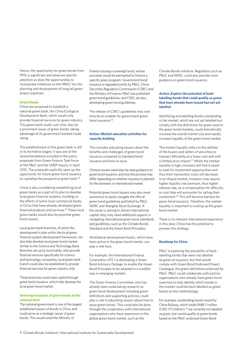Hence, the opportunity for green bonds from PPPs is significant and deserves specific attention as does the opportunities to incorporate initiatives on the NRDC list into planning and development of long tail green project pipelines.

#### **Green Banks**

China has proposed to establish a national green bank, the China Ecological Development Bank, which would only provide financial services for green industry. This green bank could, over time, also be a prominent issuer of green bonds, taking advantage of its government-backed credit rating.

The establishment of this green bank is still in its formative stages: it was one of the recommendations included in the policy proposals from Green Finance Task Force of the PBoC and the UNEP Inquiry in April 2015. The proposals explicitly open up the opportunity for future green bond issuance to capitalise the prospective green bank.<sup>34</sup>

China is also considering establishing local green banks as a part of its plan to develop local green financial systems, building on the efforts of some local commercial banks in China that have already developed green financial products and services.<sup>35</sup> These local green banks would also be potential green bond issuers.

Local green bank branches, of which the development is also within the local green financial system development framework, can also help develop local green bond market. Similar to the Science and Technology Bank Branches set up by local banks, who provide financial services specifically for science and technology companies, local green bank branch could also be established to provide financial services for green industry only.

These branches could raise capital through green bond issuance, which help develop the local green bond market.

#### **Sovereign issuance of green bonds at the national level**

The national government is one of the largest established issuers of bonds in China, and could serve as a strategic issuer of green bonds. This would entail the Ministry of

Finance issuing a sovereign bond, whose proceeds would be earmarked to finance a specific green program. Government bond issuance is regulated jointly by PBoC, China Securities Regulatory Commission (CSRC) and the Ministry of Finance. PBoC has published green bond guidelines, and CSRC are also developing green bond guidelines.

The release of CSRC's guidelines may over time be an enabler for government green bond issuance.36

#### **Action: Market education activities for capacity building**

This includes educating issuers about the benefits and challenges of green bond issuance compared to standard bond issuance and how to issue.

Chinese issuers need step-by-step guidance on green bond issuance, and how the process may differ depending on whether issuance is planned for the domestic or international market.

Potential green bond issuers may also need assistance to easily navigate the official green bond guidelines published by PBoC, NDRC and Shanghai Stock Exchange. If the issuer is aiming to attract international capital, they may need additional support in navigating international green bond standards and guidelines, such as the Climate Bonds Standard and the Green Bond Principles.

Multilateral development banks, which have been active in the green bond market, can play a role here.

For example, the International Finance Corporation (IFC) is developing a Green Bond Advisory Package to enable the Green Bond Principles to be adopted in a credible way in emerging markets.

The Green Finance Committee, who has already been undertaking research on green bond development including green definitions and supporting policies, could play a role in educating issuers about how to issue green bonds. This could also be done through the cooperation with international organisations who have experience in the global green bond market, such as the

Climate Bonds Initiative. Regulators such as PBoC and NDRC could also provide more guidance on green bond issuance.

#### **Action: Explore the potential of backlabelling bonds that could qualify as green that have already been issued but not yet labelled**

Identifying and labelling bonds outstanding in the market, which are not yet labelled but comply with the definitions for green used in the green bond markets, could dramatically increase the overall market size and rapidly increase liquidity of the green bond market.

The market liquidity refers to the abilities of the buyers and sellers of securities to transact efficiently at a lower cost and with a limited price impact.37 When the market liquidity is high, investors will find it easier to seek for investment opportunities and thus their transaction costs will decrease. In an illiquid market, investors may require higher liquidity risk premium, thus higher interest rate, as a compensation for difficulty or cost they will encounter for selling their investment.38 This will become barriers for green bond issuance. Therefore, the market liquidity is important to scaling up the green bond market.

There is no relevant international experience in this area; China has the potential to pioneer this strategy.

#### **Roadmap for China**

PBoC is exploring the possibility of backlabelling bonds that were not labelled as green at issuance, but that would comply with Green Bond Endorsed Project Catalogue, the green definitions endorsed by PBoC. PBoC could collaborate with partner organisations who already have green bond expertise to help identify which bonds in the market could be back-labelled as green based on this methodology.

For example, outstanding bonds issued by China Railway, which totals RMB 1.1 trillion (USD 171.5 billion),<sup>39</sup> are currently not labelled as green, but would qualify as green bonds based on the PBoC-endorsed Green Bond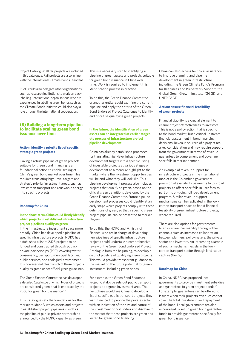Project Catalogue: all rail projects are included in this catalogue. Rail projects are also in line with the international Climate Bonds Standard.

PBoC could also delegate other organisations such as research institutions to work on backlabelling. International organisations who are experienced in labelling green bonds such as the Climate Bonds Initiative could also play a role through the international cooperation.

#### **(B) Building a long-term pipeline to facilitate scaling green bond issuance over time**

#### **Action: identify a priority list of specific strategic green projects**

Having a robust pipeline of green projects suitable for green bond financing is a foundational action to enable scaling of China's green bond market over time. This requires translating high-level targets and strategic priority investment areas, such as low-carbon transport and renewable energy, into specific projects.

#### **Roadmap for China**

#### **In the short-term, China could firstly identify which projects in established infrastructure project pipelines qualify as green**

In the infrastructure investment space more broadly, China has developed a pipeline of specific infrastructure projects. NDRC has established a list of 2,125 projects to be funded and constructed through publicprivate partnerships (PPP), covering water conservancy, transport, municipal facilities, public services, and ecological environment. It is however not clear which of these projects qualify as green under official green guidelines.

The Green Finance Committee has developed a detailed Catalogue of which types of projects are considered green, that is endorsed by the PBoC for green bond issuance.<sup>40</sup>

This Catalogue sets the foundations for the market to identify which assets and projects in established project pipelines – such as the pipeline of public-private partnerships announced by the NDRC - qualify as green.

This is a necessary step to identifying a pipeline of green assets and projects suitable for green bond issuance in China over time. Work is required to implement this identification process in practice.

To do this, the Green Finance Committee, or another entity, could examine the current pipeline and apply the criteria of the Green Bond Endorsed Project Catalogue to identify and prioritise qualifying green projects.

#### **In the future, the identification of green assets can be integrated at earlier stages the process of infrastructure project pipeline development**

China has already established processes for translating high-level infrastructure development targets into a specific listing of investable projects at various stages of development as a measure highlight to the market where the investment opportunities will be and what they will look like. This pipeline development process also includes projects that qualify as green, based on the official green definitions developed by the Green Finance Committee. Future pipeline development processes could identify at an early stage which projects comply with these definitions of green, so that a specific green project pipeline can be presented to market players.

To do this, the NDRC and Ministry of Finance, who are in charge of developing new pipelines of specific infrastructure projects could undertake a comprehensive review of the Green Bond Endorsed Project Catalogue from the beginning, to develop a distinct pipeline of qualifying green projects. This would provide transparent guidance to the market on the future potential for green investment, including green bonds.

For example, the Green Bond Endorsed Project Catalogue sets out public transport projects as a green investment area. The next phase would see China to develop a list of specific public transport projects they want financed to provide the private sector with an indication of the size and nature of the investment opportunities and disclose to the market that these projects are green and suited for green bond financing.

China can also access technical assistance to improve planning and pipeline development in green infrastructure, including the Green Climate Fund's Program for Readiness and Preparatory Support, the Global Green Growth Institute (GGGI), and UNEP PAGE.

#### **Action: ensure financial feasibility of green projects**

Financial viability is a crucial element to ensure project attractiveness to investors. This is not a policy action that is specific to the bond market, but a critical upstream financial assessment in bond financing decisions. Revenue sources of a project are a key consideration and may require support from the government in terms of revenue guarantees to complement and cover any shortfalls in market demand.

An example of revenue support for infrastructure projects in the international market is the Colombian government provision of availability payments to toll-road projects, to offset shortfalls in user fees as part of its on-going toll road development program. Similar revenue support mechanisms can be replicated in the lowcarbon transport space to boost financial feasibility of green infrastructure projects, where required.

There are also options for governments to ensure financial viability through other channels such as increased collaboration between planners, policymakers, the private sector and investors. An interesting example of such a mechanism exists in the lowcarbon transport sector through land-value capture (Box 2).

#### **Roadmap for China**

In China, NDRC has proposed local governments to provide investment subsidies and guarantees to green project bonds.<sup>41</sup> For example, guarantees can be offered to issuers when their projects revenues cannot cover the total investment, and repayment of the bond. Local governments are also encouraged to set up green bond guarantee funds to provide guarantees specifically for green bond issuance.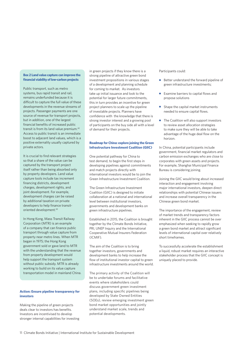#### **Box 2 Land value capture can improve the financial viability of low-carbon projects**

Public transport, such as metro systems, bus rapid transit and rail, remains underfunded because it is difficult to capture the full value of these developments in the revenue streams of projects. Passenger payments are one source of revenue for transport projects, but in addition, one of the largest financial benefits of increased public transit is from its land value premium.42 Access to public transit is an immediate boost to adjacent land values, which is a positive externality usually captured by private actors.

It is crucial to find relevant strategies so that a share of the value can be captured by the transport project itself rather than being absorbed only by property developers. Land value capture tools include tax increment financing districts, development charges, development rights, and joint development. For example, development charges can be raised by additional taxation on private developers to help finance transitoriented development.43

In Hong Kong, Mass Transit Railway Corporation (MTR) is an example of a company that can finance public transport through value capture from property near metro lines. When
MTR began in 1975; the Hong Kong government sold or gave land to MTR with the understanding that the revenue from property development would help support the transport system without public subsidy. MTR is already working to build on its value capture transportation model in mainland China.

#### **Action: Ensure pipeline transparency for investors**

Making the pipeline of green projects deals clear to investors has benefits. Investors are incentivised to develop stronger internal capabilities for investing

in green projects if they know there is a strong pipeline of attractive green bond investment propositions in various stages of a development and planning schedule for coming to market. As investors take up initial issuance and look to the potential for larger future commitments, this in turn provides an incentive for green project planners to scale up the pipeline of investable projects. Planners have confidence with the knowledge that there is strong investor interest and a growing pool of participants on the buy side all with a level of demand for their projects.

#### **Roadmap for China: explore joining the Green Infrastructure Investment Coalition (GIIC)**

One potential pathway for China to test demand, to begin the first steps in developing pipelines against commitments and match projects directly with international investors would be to join the Green Infrastructure Investment Coalition.

The Green Infrastructure Investment Coalition (GIIC) is designed to initiate collaboration at a national and international level between institutional investors, governments and development banks on green infrastructure pipelines.

Established in 2015, the Coalition is brought together by the Climate Bonds Initiative, PRI, UNEP Inquiry and the International Cooperative Mutual Insurers Federation (ICMIF).

The aim of the Coalition is to bring together investors, governments and development banks to help increase the flow of institutional investor capital to green infrastructure investments around the world.

The primary activity of the Coalition will be to undertake forums and facilitative events where stakeholders could discuss government green investment plans, including specific pipelines being developed by State Owned Entities (SOEs), review emerging investment green bond market opportunities and jointly understand market scale, trends and potential developments.

#### Participants could:

- Better understand the forward pipeline of green infrastructure investments;
- Examine barriers to capital flows and propose solutions
- Shape the capital market instruments needed to ensure capital flows.
- The Coalition will also support investors to review asset allocation strategies to make sure they will be able to take advantage of the huge deal flow on the horizon.

In China, potential participants include government, financial market regulators and carbon emission exchanges who are close to corporates with green assets and projects. For example, Shanghai Municipal Finance Bureau is considering joining.

Joining the GIIC would bring about increased interaction and engagement involving major international investors, deepen direct relationships with potential Chinese issuers and increase overall transparency in the Chinese green bond market.

The importance of the engagement, review of market trends and transparency factors inherent in the GIIC process cannot be over emphasized when seeking to rapidly grow a green bond market and attract significant levels of international capital over relatively short timeframes.

To successfully accelerate the establishment a liquid, robust market requires an interactive stakeholder process that the GIIC concept is uniquely placed to provide.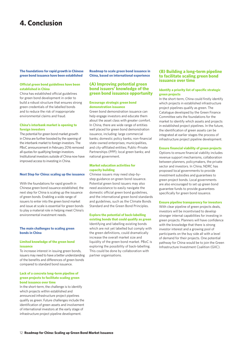### **4. Conclusion**

#### **The foundations for rapid growth in Chinese green bond issuance have been established**

#### **Official green bond guidelines have been established in China**

China has established official guidelines for green bond development in order to build a robust structure that ensures strong green credentials of the labelled bonds and to reduce the risk of inappropriate environmental claims and fraud.

#### **China's interbank market is opening to foreign investors**

The potential for green bond market growth in China are further boosted by the opening of the interbank market to foreign investors. The PBoC announcement in February 2016 removed all quotas for qualifying foreign investors. Institutional investors outside of China now have improved access to investing in China.

#### **Next Step for China: scaling up the issuance**

With the foundations for rapid growth in Chinese green bond issuance established, the next step for China is scaling up the issuance of green bonds. Enabling a wide range of issuers to enter into the green bond market and issue at scale is essential for green bonds to play a material role in helping meet China's environmental investment needs.

#### **The main challenges to scaling green bonds in China**

#### **Limited knowledge of the green bond issuance**

To increase interest in issuing green bonds, issuers may need to have a better understanding of the benefits and differences of green bonds compared to standard bond issuance.

#### **Lack of a concrete long-term pipeline of green projects to facilitate scaling green bond issuance over time**

In the short-term, the challenge is to identify which projects within established and announced infrastructure project pipelines qualify as green. Future challenges include the identification of green assets and involvement of international investors at the early stage of infrastructure project pipeline development.

**Roadmap to scale green bond issuance in China, based on international experience** 

#### **(A) Improving potential green bond issuers' knowledge of the green bond issuance opportunity**

#### **Encourage strategic green bond demonstration issuance**

Green bond demonstration issuance can help engage investors and educate them about the asset class with greater comfort. In China, there are wide range of entities well placed for green bond demonstration issuance, including: large commercial banks; domestic policy banks; non-financial state-owned enterprises; municipalities, and city-affiliated entities; Public-Private Partnerships (PPP); local green banks; and national government.

#### **Market education activities for capacity building**

Chinese issuers may need step-bystep guidance on green bond issuance. Potential green bond issuers may also need assistance to easily navigate the domestic official green bond guidelines, and the international green bond standards and guidelines, such as the Climate Bonds Standard and the Green Bond Principles.

#### **Explore the potential of back-labelling existing bonds that could qualify as green**

Identifying and labelling existing bonds which are not yet labelled but comply with the green definitions, could dramatically increase the overall market size and liquidity of the green bond market. PBoC is exploring the possibility of back-labelling. This could be done by collaboration with partner organisations.

#### **(B) Building a long-term pipeline to facilitate scaling green bond issuance over time**

#### **Identify a priority list of specific strategic green projects**

In the short-term, China could firstly identify which projects in established infrastructure project pipelines qualify as green. The Catalogue developed by the Green Finance Committee sets the foundations for the market to identify which assets and projects in established project pipelines. In the future, the identification of green assets can be integrated at earlier stages the process of infrastructure project pipeline development.

#### **Ensure financial viability of green projects**

Options to ensure financial viability includes revenue support mechanisms, collaboration between planners, policymakers, the private sector and investors. In China, NDRC has proposed local governments to provide investment subsidies and guarantees to green project bonds. Local governments are also encouraged to set up green bond guarantee funds to provide guarantees specifically for green bond issuance.

#### **Ensure pipeline transparency for investors**

With clear pipeline of green projects deals, investors will be incentivised to develop stronger internal capabilities for investing in green projects. Planners will have confidence with the knowledge that there is strong investor interest and a growing pool of participants on the buy side all with a level of demand for their projects. One potential pathway for China would be to join the Green Infrastructure Investment Coalition (GIIC).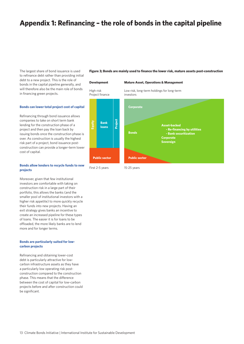### **Appendix 1: Refinancing – the role of bonds in the capital pipeline**

The largest share of bond issuance is used to refinance debt rather than providing initial debt to a new project. This is the role of bonds in the capital pipeline generally, and will therefore also be the main role of bonds in financing green projects.

#### **Bonds can lower total project cost of capital**

Refinancing through bond issuance allows companies to take on short term bank lending for the construction phase of a project and then pay the loan back by issuing bonds once the construction phase is over. As construction is usually the highest risk part of a project, bond issuance postconstruction can provide a longer-term lower cost of capital.

#### **Bonds allow lenders to recycle funds to new projects**

Moreover, given that few institutional investors are comfortable with taking on construction risk in a large part of their portfolio, this allows the banks (and the smaller pool of institutional investors with a higher risk appetite) to more quickly recycle their funds into new projects. Having an exit strategy gives banks an incentive to create an increased pipeline for these types of loans. The easier it is for loans to be offloaded, the more likely banks are to lend more and for longer terms.

#### **Bonds are particularly suited for lowcarbon projects**

Refinancing and obtaining lower-cost debt is particularly attractive for lowcarbon infrastructure assets as they have a particularly low operating risk postconstruction compared to the construction phase. This means that the difference between the cost of capital for low-carbon projects before and after construction could be significant.

#### **Figure 3; Bonds are mainly used to finance the lower risk, mature assets post-construction**

**- Re-financing by utilities - Bank securitization**

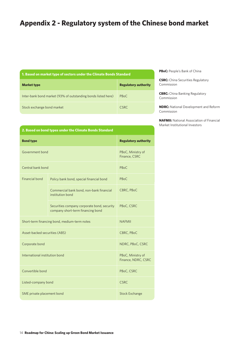### **Appendix 2 - Regulatory system of the Chinese bond market**

| 1. Based on market type of sectors under the Climate Bonds Standard |  |  |  |  |
|---------------------------------------------------------------------|--|--|--|--|
|---------------------------------------------------------------------|--|--|--|--|

| <b>Market type</b>                                            | <b>Regulatory authority</b> |
|---------------------------------------------------------------|-----------------------------|
| Inter-bank bond market (93% of outstanding bonds listed here) | <b>PBoC</b>                 |
| Stock exchange bond market                                    | CSRC.                       |

**PBoC:** People's Bank of China

**CSRC:** China Securities Regulatory Commission

**CBRC:** China Banking Regulatory Commission

**NDRC:** National Development and Reform Commission

**NAFMII:** National Association of Financial Market Institutional Investors

| 2. Based on bond types under the Climate Bonds Standard |  |
|---------------------------------------------------------|--|
|                                                         |  |

| <b>Bond type</b>                             |                                                                                  | <b>Regulatory authority</b>              |
|----------------------------------------------|----------------------------------------------------------------------------------|------------------------------------------|
| Government bond                              |                                                                                  | PBoC, Ministry of<br>Finance, CSRC       |
| Central bank bond                            |                                                                                  | PB <sub>o</sub> C                        |
| Financial bond                               | Policy bank bond, special financial bond                                         | PBoC                                     |
|                                              | Commercial bank bond, non-bank financial<br>institution bond                     | CBRC, PBoC                               |
|                                              | Securities company corporate bond, security<br>company short-term financing bond | PBoC, CSRC                               |
| Short-term financing bond, medium-term notes |                                                                                  | <b>NAFMIL</b>                            |
| Asset-backed securities (ABS)                |                                                                                  | CBRC, PBoC                               |
| Corporate bond                               |                                                                                  | NDRC, PBoC, CSRC                         |
| International institution bond               |                                                                                  | PBoC, Ministry of<br>Finance, NDRC, CSRC |
| Convertible bond                             |                                                                                  | PBoC, CSRC                               |
| Listed-company bond                          |                                                                                  | <b>CSRC</b>                              |
| SME private placement bond                   |                                                                                  | <b>Stock Exchange</b>                    |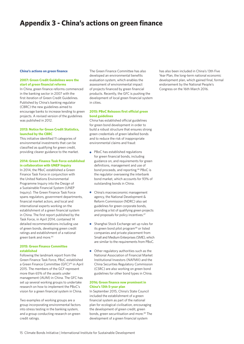### **Appendix 3 - China's actions on green finance**

#### **China's actions on green finance**

#### **2007: Green Credit Guidelines were the start of green financial reforms**

In China, green finance reforms commenced in the banking sector in 2007 with the first iteration of Green Credit Guidelines. Published by China's banking regulator (CBRC) the new guidelines aimed to encourage banks to increase lending to green projects. A revised version of the guidelines was published in 2012.

#### **2013: Notice for Green Credit Statistics, launched by the CBRC**

This initiative identified 11 categories of environmental investments that can be classified as qualifying for green credit, providing clearer guidance to the market.

#### **2014: Green Finance Task Force established in collaboration with UNEP Inquiry**

In 2014, the PBoC established a Green Finance Task Force in conjunction with the United Nations Environmental Programme Inquiry into the Design of a Sustainable Financial System (UNEP Inquiry). The Green Finance Task Force spans regulators, government departments, financial market actors, and local and international experts working on the establishment of a green financial system in China. The first report published by the Task Force, in April 2014, contained 14 detailed recommendations including use of green bonds, developing green credit ratings and establishment of a national green bank and more.44

#### **2015: Green Finance Committee established**

Following the landmark report from the Green Finance Task Force, PBoC established a Green Finance Committee (GFC)<sup>45</sup> in April 2015. The members of the GCF represent more than 65% of the assets under management (AUM) in China. The GFC has set up several working groups to undertake research on how to implement the PBoC's vision for a green financial system in China.

Two examples of working groups are a group incorporating environmental factors into stress testing in the banking system, and a group conducting research on green credit ratings.

The Green Finance Committee has also developed an environmental benefits evaluation system, which enables the assessment of environmental impact of projects financed by green financial products. Recently, the GFC is pushing the development of local green financial system in cities.

#### **2015: PBoC Releases first official green bond guidelines**

China has established official guidelines for green bond development in order to build a robust structure that ensures strong green credentials of green labelled bonds and to reduce the risk of inappropriate environmental claims and fraud:

- PBoC has established regulations for green financial bonds, including guidance on, and requirements for green definitions, management and use of bond proceeds, and reporting.46 PBoC is the regulator overseeing the interbank bond market, which accounts for 93% of outstanding bonds in China.
- China's macroeconomic management agency, the National Development & Reform Commission (NDRC) also set guidelines for green corporate bonds, providing a list of qualifying green projects and proposals for policy incentives.<sup>47</sup>
- Shanghai Stock Exchange set up rules for its green bond pilot program<sup>48</sup> or listed companies and private placement from Small and Medium Enterprises (SME), which are similar to the requirements from PBoC.
- Other regulatory authorities such as the National Association of Financial Market Institutional Investors (NAFMII) and the China Securities Regulatory Commission (CSRC) are also working on green bond guidelines for other bond types in China.

#### **2016; Green finance now prominent in China's 13th 5-year plan**

In September 2015, China's State Council included the establishment of a green financial system as part of the national plan for ecological civilisation, encouraging the development of green credit, green bonds, green securitisation and more.<sup>49</sup> The development of a green financial system

has also been included in China's 13th Five Year Plan, the long-term national economic development plan, which gained final, formal endorsement by the National People's Congress on the 16th March 2016.